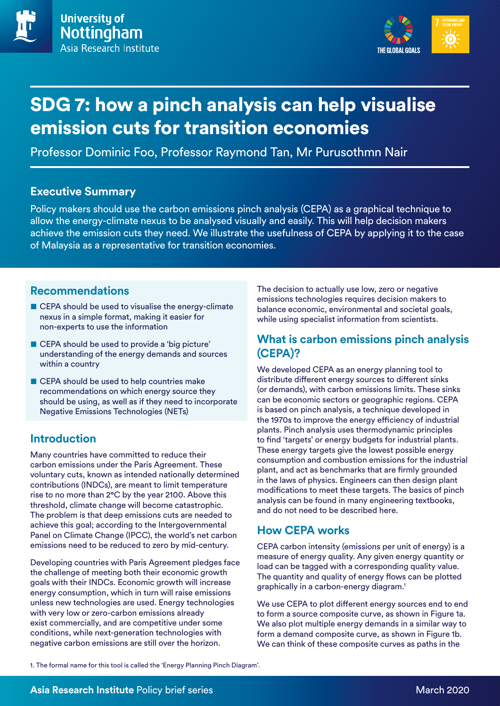

# SDG 7: how a pinch analysis can help visualise emission cuts for transition economies

Professor Dominic Foo, Professor Raymond Tan, Mr Purusothmn Nair

#### **Executive Summary**

Policy makers should use the carbon emissions pinch analysis (CEPA) as a graphical technique to allow the energy-climate nexus to be analysed visually and easily. This will help decision makers achieve the emission cuts they need. We illustrate the usefulness of CEPA by applying it to the case of Malaysia as a representative for transition economies.

#### **Recommendations**

- CEPA should be used to visualise the energy-climate nexus in a simple format, making it easier for non-experts to use the information
- CEPA should be used to provide a 'big picture' understanding of the energy demands and sources within a country
- CEPA should be used to help countries make recommendations on which energy source they should be using, as well as if they need to incorporate Negative Emissions Technologies (NETs)

## **Introduction**

Many countries have committed to reduce their carbon emissions under the Paris Agreement. These voluntary cuts, known as intended nationally determined contributions (INDCs), are meant to limit temperature rise to no more than 2°C by the year 2100. Above this threshold, climate change will become catastrophic. The problem is that deep emissions cuts are needed to achieve this goal; according to the Intergovernmental Panel on Climate Change (IPCC), the world's net carbon emissions need to be reduced to zero by mid-century.

Developing countries with Paris Agreement pledges face the challenge of meeting both their economic growth goals with their INDCs. Economic growth will increase energy consumption, which in turn will raise emissions unless new technologies are used. Energy technologies with very low or zero-carbon emissions already exist commercially, and are competitive under some conditions, while next-generation technologies with negative carbon emissions are still over the horizon.

The decision to actually use low, zero or negative emissions technologies requires decision makers to balance economic, environmental and societal goals, while using specialist information from scientists.

### **What is carbon emissions pinch analysis (CEPA)?**

We developed CEPA as an energy planning tool to distribute different energy sources to different sinks (or demands), with carbon emissions limits. These sinks can be economic sectors or geographic regions. CEPA is based on pinch analysis, a technique developed in the 1970s to improve the energy efficiency of industrial plants. Pinch analysis uses thermodynamic principles to find 'targets' or energy budgets for industrial plants. These energy targets give the lowest possible energy consumption and combustion emissions for the industrial plant, and act as benchmarks that are firmly grounded in the laws of physics. Engineers can then design plant modifications to meet these targets. The basics of pinch analysis can be found in many engineering textbooks, and do not need to be described here.

## **How CEPA works**

CEPA carbon intensity (emissions per unit of energy) is a measure of energy quality. Any given energy quantity or load can be tagged with a corresponding quality value. The quantity and quality of energy flows can be plotted graphically in a carbon-energy diagram.1

We use CEPA to plot different energy sources end to end to form a source composite curve, as shown in Figure 1a. We also plot multiple energy demands in a similar way to form a demand composite curve, as shown in Figure 1b. We can think of these composite curves as paths in the

1. The formal name for this tool is called the 'Energy Planning Pinch Diagram'.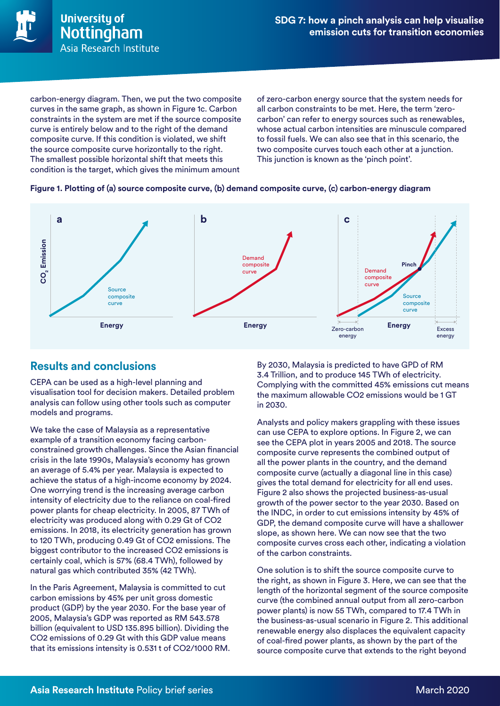

carbon-energy diagram. Then, we put the two composite curves in the same graph, as shown in Figure 1c. Carbon constraints in the system are met if the source composite curve is entirely below and to the right of the demand composite curve. If this condition is violated, we shift the source composite curve horizontally to the right. The smallest possible horizontal shift that meets this condition is the target, which gives the minimum amount

of zero-carbon energy source that the system needs for all carbon constraints to be met. Here, the term 'zerocarbon' can refer to energy sources such as renewables, whose actual carbon intensities are minuscule compared to fossil fuels. We can also see that in this scenario, the two composite curves touch each other at a junction. This junction is known as the 'pinch point'.

#### **Figure 1. Plotting of (a) source composite curve, (b) demand composite curve, (c) carbon-energy diagram**



#### **Results and conclusions**

CEPA can be used as a high-level planning and visualisation tool for decision makers. Detailed problem analysis can follow using other tools such as computer models and programs.

We take the case of Malaysia as a representative example of a transition economy facing carbonconstrained growth challenges. Since the Asian financial crisis in the late 1990s, Malaysia's economy has grown an average of 5.4% per year. Malaysia is expected to achieve the status of a high-income economy by 2024. One worrying trend is the increasing average carbon intensity of electricity due to the reliance on coal-fired power plants for cheap electricity. In 2005, 87 TWh of electricity was produced along with 0.29 Gt of CO2 emissions. In 2018, its electricity generation has grown to 120 TWh, producing 0.49 Gt of CO2 emissions. The biggest contributor to the increased CO2 emissions is certainly coal, which is 57% (68.4 TWh), followed by natural gas which contributed 35% (42 TWh).

In the Paris Agreement, Malaysia is committed to cut carbon emissions by 45% per unit gross domestic product (GDP) by the year 2030. For the base year of 2005, Malaysia's GDP was reported as RM 543.578 billion (equivalent to USD 135.895 billion). Dividing the CO2 emissions of 0.29 Gt with this GDP value means that its emissions intensity is 0.531 t of CO2/1000 RM. By 2030, Malaysia is predicted to have GPD of RM 3.4 Trillion, and to produce 145 TWh of electricity. Complying with the committed 45% emissions cut means the maximum allowable CO2 emissions would be 1 GT in 2030.

Analysts and policy makers grappling with these issues can use CEPA to explore options. In Figure 2, we can see the CEPA plot in years 2005 and 2018. The source composite curve represents the combined output of all the power plants in the country, and the demand composite curve (actually a diagonal line in this case) gives the total demand for electricity for all end uses. Figure 2 also shows the projected business-as-usual growth of the power sector to the year 2030. Based on the INDC, in order to cut emissions intensity by 45% of GDP, the demand composite curve will have a shallower slope, as shown here. We can now see that the two composite curves cross each other, indicating a violation of the carbon constraints.

One solution is to shift the source composite curve to the right, as shown in Figure 3. Here, we can see that the length of the horizontal segment of the source composite curve (the combined annual output from all zero-carbon power plants) is now 55 TWh, compared to 17.4 TWh in the business-as-usual scenario in Figure 2. This additional renewable energy also displaces the equivalent capacity of coal-fired power plants, as shown by the part of the source composite curve that extends to the right beyond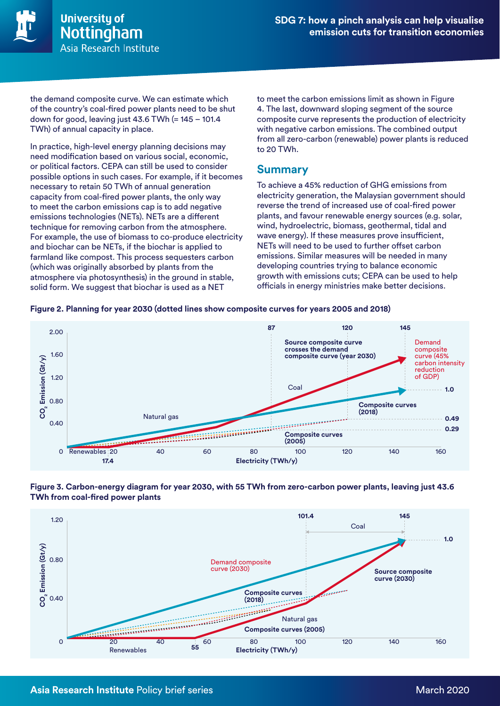

the demand composite curve. We can estimate which of the country's coal-fired power plants need to be shut down for good, leaving just 43.6 TWh (= 145 – 101.4 TWh) of annual capacity in place.

In practice, high-level energy planning decisions may need modification based on various social, economic, or political factors. CEPA can still be used to consider possible options in such cases. For example, if it becomes necessary to retain 50 TWh of annual generation capacity from coal-fired power plants, the only way to meet the carbon emissions cap is to add negative emissions technologies (NETs). NETs are a different technique for removing carbon from the atmosphere. For example, the use of biomass to co-produce electricity and biochar can be NETs, if the biochar is applied to farmland like compost. This process sequesters carbon (which was originally absorbed by plants from the atmosphere via photosynthesis) in the ground in stable, solid form. We suggest that biochar is used as a NET

to meet the carbon emissions limit as shown in Figure 4. The last, downward sloping segment of the source composite curve represents the production of electricity with negative carbon emissions. The combined output from all zero-carbon (renewable) power plants is reduced to 20 TWh.

#### **Summary**

To achieve a 45% reduction of GHG emissions from electricity generation, the Malaysian government should reverse the trend of increased use of coal-fired power plants, and favour renewable energy sources (e.g. solar, wind, hydroelectric, biomass, geothermal, tidal and wave energy). If these measures prove insufficient, NETs will need to be used to further offset carbon emissions. Similar measures will be needed in many developing countries trying to balance economic growth with emissions cuts; CEPA can be used to help officials in energy ministries make better decisions.





#### **Figure 3. Carbon-energy diagram for year 2030, with 55 TWh from zero-carbon power plants, leaving just 43.6 TWh from coal-fired power plants**